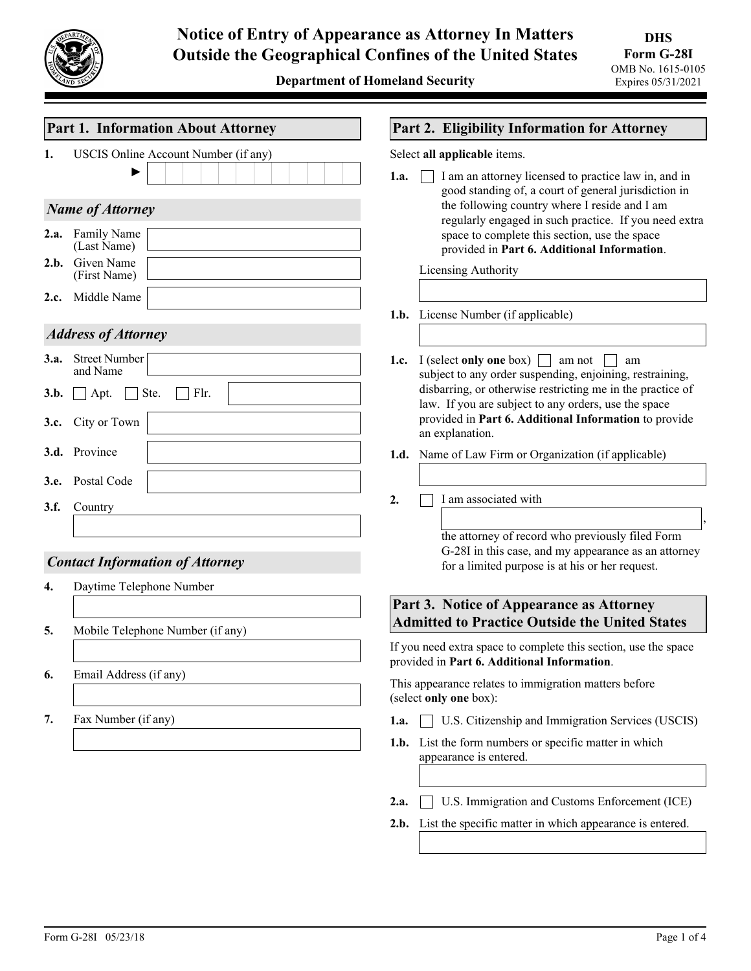

| <b>Part 1. Information About Attorney</b>                  | Part 2. Eligibility Information for Attorney                                                                                                                                                                                                                                                                                   |  |  |  |  |  |
|------------------------------------------------------------|--------------------------------------------------------------------------------------------------------------------------------------------------------------------------------------------------------------------------------------------------------------------------------------------------------------------------------|--|--|--|--|--|
| USCIS Online Account Number (if any)<br>1.                 | Select all applicable items.                                                                                                                                                                                                                                                                                                   |  |  |  |  |  |
| <b>Name of Attorney</b><br>2.a. Family Name<br>(Last Name) | 1.a.<br>I am an attorney licensed to practice law in, and in<br>good standing of, a court of general jurisdiction in<br>the following country where I reside and I am<br>regularly engaged in such practice. If you need extra<br>space to complete this section, use the space<br>provided in Part 6. Additional Information. |  |  |  |  |  |
| 2.b. Given Name<br>(First Name)                            | Licensing Authority                                                                                                                                                                                                                                                                                                            |  |  |  |  |  |
| Middle Name<br>2.c.                                        |                                                                                                                                                                                                                                                                                                                                |  |  |  |  |  |
|                                                            | <b>1.b.</b> License Number (if applicable)                                                                                                                                                                                                                                                                                     |  |  |  |  |  |
| <b>Address of Attorney</b>                                 |                                                                                                                                                                                                                                                                                                                                |  |  |  |  |  |
| 3.a. Street Number<br>and Name                             | I (select only one box) $\Box$<br>am not<br>1.c.<br>am<br>subject to any order suspending, enjoining, restraining,                                                                                                                                                                                                             |  |  |  |  |  |
| Ste.<br>Flr.<br>3.b.<br>Apt.<br>City or Town<br>3.c.       | disbarring, or otherwise restricting me in the practice of<br>law. If you are subject to any orders, use the space<br>provided in Part 6. Additional Information to provide<br>an explanation.                                                                                                                                 |  |  |  |  |  |
| 3.d. Province                                              | Name of Law Firm or Organization (if applicable)<br>1.d.                                                                                                                                                                                                                                                                       |  |  |  |  |  |
| Postal Code<br>3.e.                                        |                                                                                                                                                                                                                                                                                                                                |  |  |  |  |  |
| 3.f.<br>Country                                            | I am associated with<br>2.                                                                                                                                                                                                                                                                                                     |  |  |  |  |  |
|                                                            |                                                                                                                                                                                                                                                                                                                                |  |  |  |  |  |
| <b>Contact Information of Attorney</b>                     | the attorney of record who previously filed Form<br>G-28I in this case, and my appearance as an attorney<br>for a limited purpose is at his or her request.                                                                                                                                                                    |  |  |  |  |  |
| Daytime Telephone Number<br>4.                             |                                                                                                                                                                                                                                                                                                                                |  |  |  |  |  |
|                                                            | Part 3. Notice of Appearance as Attorney<br><b>Admitted to Practice Outside the United States</b>                                                                                                                                                                                                                              |  |  |  |  |  |
| Mobile Telephone Number (if any)<br>5.                     |                                                                                                                                                                                                                                                                                                                                |  |  |  |  |  |
|                                                            | If you need extra space to complete this section, use the space<br>provided in Part 6. Additional Information.                                                                                                                                                                                                                 |  |  |  |  |  |
| Email Address (if any)<br>6.                               | This appearance relates to immigration matters before<br>(select only one box):                                                                                                                                                                                                                                                |  |  |  |  |  |
| Fax Number (if any)<br>7.                                  | U.S. Citizenship and Immigration Services (USCIS)<br>1.a.                                                                                                                                                                                                                                                                      |  |  |  |  |  |
|                                                            | List the form numbers or specific matter in which<br>1.b.<br>appearance is entered.                                                                                                                                                                                                                                            |  |  |  |  |  |
|                                                            |                                                                                                                                                                                                                                                                                                                                |  |  |  |  |  |
|                                                            | U.S. Immigration and Customs Enforcement (ICE)<br>2.a.                                                                                                                                                                                                                                                                         |  |  |  |  |  |
|                                                            | List the specific matter in which appearance is entered.<br>2.b.                                                                                                                                                                                                                                                               |  |  |  |  |  |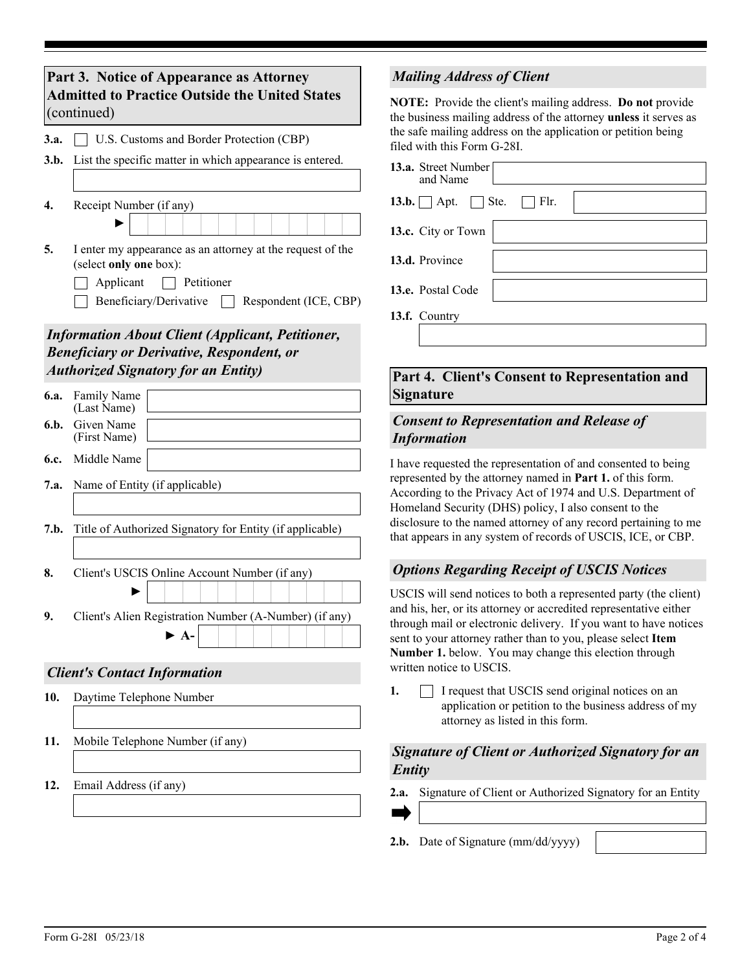| Part 3. Notice of Appearance as Attorney<br><b>Admitted to Practice Outside the United States</b><br>(continued) |                                                                                                                                                                    |  |  |  |  |  |  |
|------------------------------------------------------------------------------------------------------------------|--------------------------------------------------------------------------------------------------------------------------------------------------------------------|--|--|--|--|--|--|
| 3.a.                                                                                                             | U.S. Customs and Border Protection (CBP)                                                                                                                           |  |  |  |  |  |  |
| 3.b.                                                                                                             | List the specific matter in which appearance is entered.                                                                                                           |  |  |  |  |  |  |
| $\overline{4}$ .                                                                                                 | Receipt Number (if any)                                                                                                                                            |  |  |  |  |  |  |
| 5.                                                                                                               | I enter my appearance as an attorney at the request of the<br>(select only one box):<br>Applicant<br>Petitioner<br>Beneficiary/Derivative<br>Respondent (ICE, CBP) |  |  |  |  |  |  |
|                                                                                                                  | <b>Information About Client (Applicant, Petitioner,</b><br><b>Beneficiary or Derivative, Respondent, or</b><br><b>Authorized Signatory for an Entity)</b>          |  |  |  |  |  |  |
| 6.a.                                                                                                             | Family Name<br>(Last Name)                                                                                                                                         |  |  |  |  |  |  |
| 6.b.                                                                                                             | Given Name<br>(First Name)                                                                                                                                         |  |  |  |  |  |  |
| 6.c.                                                                                                             | Middle Name                                                                                                                                                        |  |  |  |  |  |  |
| 7.a.                                                                                                             | Name of Entity (if applicable)                                                                                                                                     |  |  |  |  |  |  |
| 7.b.                                                                                                             | Title of Authorized Signatory for Entity (if applicable)                                                                                                           |  |  |  |  |  |  |
| 8.                                                                                                               | Client's USCIS Online Account Number (if any)                                                                                                                      |  |  |  |  |  |  |
| У.                                                                                                               | Client's Alien Registration Number (A-Number) (if any)<br>$\blacktriangleright$ A-                                                                                 |  |  |  |  |  |  |
|                                                                                                                  | <b>Client's Contact Information</b>                                                                                                                                |  |  |  |  |  |  |
| 10.                                                                                                              | Daytime Telephone Number                                                                                                                                           |  |  |  |  |  |  |
| 11.                                                                                                              | Mobile Telephone Number (if any)                                                                                                                                   |  |  |  |  |  |  |
| 12.                                                                                                              | Email Address (if any)                                                                                                                                             |  |  |  |  |  |  |

### *Mailing Address of Client*

**NOTE:** Provide the client's mailing address. **Do not** provide the business mailing address of the attorney **unless** it serves as the safe mailing address on the application or petition being filed with this Form G-28I.

| <b>13.a.</b> Street Number<br>and Name  |  |
|-----------------------------------------|--|
| $13.b.$ Apt. Ste.<br>$\vert \vert$ Flr. |  |
| 13.c. City or Town                      |  |
| 13.d. Province                          |  |
| 13.e. Postal Code                       |  |
| 13.f. Country                           |  |

### **Part 4. Client's Consent to Representation and Signature**

#### *Consent to Representation and Release of Information*

I have requested the representation of and consented to being represented by the attorney named in **Part 1.** of this form. According to the Privacy Act of 1974 and U.S. Department of Homeland Security (DHS) policy, I also consent to the disclosure to the named attorney of any record pertaining to me that appears in any system of records of USCIS, ICE, or CBP.

## *Options Regarding Receipt of USCIS Notices*

USCIS will send notices to both a represented party (the client) and his, her, or its attorney or accredited representative either through mail or electronic delivery. If you want to have notices sent to your attorney rather than to you, please select **Item Number 1.** below. You may change this election through written notice to USCIS.

 $\Box$  I request that USCIS send original notices on an application or petition to the business address of my attorney as listed in this form. **1.**

### *Signature of Client or Authorized Signatory for an Entity*

**2.a.** Signature of Client or Authorized Signatory for an Entity

**2.b.** Date of Signature (mm/dd/yyyy)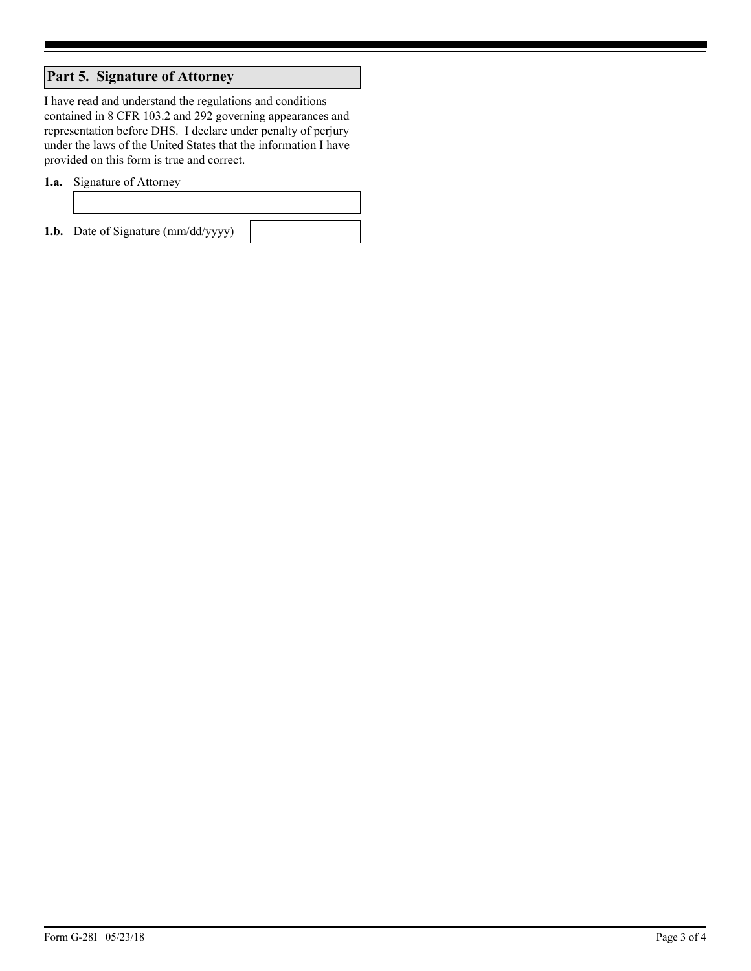# **Part 5. Signature of Attorney**

I have read and understand the regulations and conditions contained in 8 CFR 103.2 and 292 governing appearances and representation before DHS. I declare under penalty of perjury under the laws of the United States that the information I have provided on this form is true and correct.

**1.a.** Signature of Attorney

**1.b.** Date of Signature (mm/dd/yyyy)